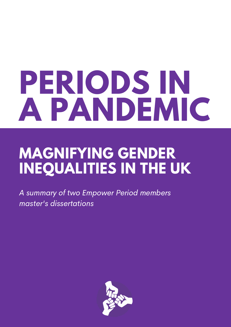# **PERIODS IN A PANDEMIC**

### **MAGNIFYING GENDER INEQUALITIES IN THE UK**

A summary of two Empower Period members master's dissertations

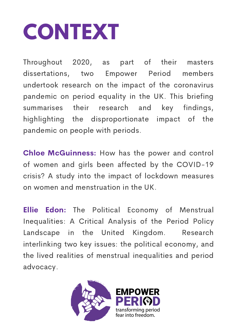# **CONTEXT**

Throughout 2020, as part of their masters dissertations, two Empower Period members undertook research on the impact of the coronavirus pandemic on period equality in the UK. This briefing summarises their research and key findings, highlighting the disproportionate impact of the pandemic on people with periods.

Chloe McGuinness: How has the power and control of women and girls been affected by the COVID-19 crisis? A study into the impact of lockdown measures on women and menstruation in the UK.

**Ellie Edon:** The Political Economy of Menstrual Inequalities: A Critical Analysis of the Period Policy Landscape in the United Kingdom. Research interlinking two key issues: the political economy, and the lived realities of menstrual inequalities and period advocacy.

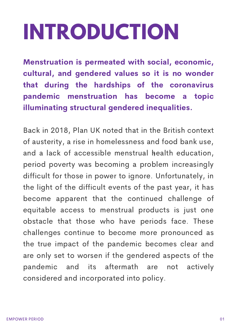# **INTRODUCTION**

Menstruation is permeated with social, economic, cultural, and gendered values so it is no wonder that during the hardships of the coronavirus pandemic menstruation has become a topic illuminating structural gendered inequalities.

Back in 2018, Plan UK noted that in the British context of austerity, a rise in homelessness and food bank use, and a lack of accessible menstrual health education, 1 period poverty was becoming a problem increasingly difficult for those in power to ignore. Unfortunately, in the light of the difficult events of the past year, it has become apparent that the continued challenge of equitable access to menstrual products is just one obstacle that those who have periods face. These challenges continue to become more pronounced as the true impact of the pandemic becomes clear and are only set to worsen if the gendered aspects of the pandemic and its aftermath are not actively considered and incorporated into policy.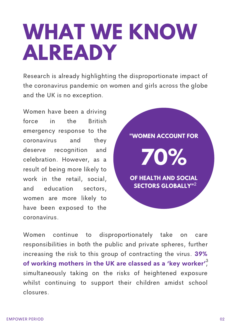## **WHAT WE KNOW ALREADY**

Research is already highlighting the disproportionate impact of the coronavirus pandemic on women and girls across the globe and the UK is no exception.

Women have been a driving force in the British emergency response to the coronavirus and they deserve recognition and celebration. However, as a result of being more likely to work in the retail, social, and education sectors, women are more likely to have been exposed to the coronavirus.



Women continue to disproportionately take on care responsibilities in both the public and private spheres, further increasing the risk to this group of contracting the virus. 39% of working mothers in the UK are classed as a 'key worker'. simultaneously taking on the risks of heightened exposure whilst continuing to support their children amidst school closures.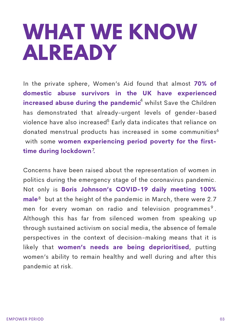## **WHAT WE KNOW ALREADY**

In the private sphere, Women's Aid found that almost 70% of domestic abuse survivors in the UK have experienced increased abuse during the pandemic<sup>4</sup> whilst Save the Children has demonstrated that already-urgent levels of gender-based violence have also increased $5$  Early data indicates that reliance on donated menstrual products has increased in some communities<sup>6</sup> with some women experiencing period poverty for the firsttime during lockdown?

Concerns have been raised about the representation of women in politics during the emergency stage of the coronavirus pandemic. Not only is Boris Johnson's COVID-19 daily meeting 100%  $male<sup>8</sup>$  but at the height of the pandemic in March, there were 2.7 men for every woman on radio and television programmes<sup>9</sup>. Although this has far from silenced women from speaking up through sustained activism on social media, the absence of female perspectives in the context of decision-making means that it is likely that women's needs are being deprioritised, putting women's ability to remain healthy and well during and after this pandemic at risk.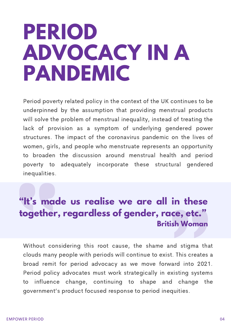### **PERIOD ADVOCACY IN A PANDEMIC**

Period poverty related policy in the context of the UK continues to be underpinned by the assumption that providing menstrual products will solve the problem of menstrual inequality, instead of treating the lack of provision as a symptom of underlying gendered power structures. The impact of the coronavirus pandemic on the lives of women, girls, and people who menstruate represents an opportunity to broaden the discussion around menstrual health and period poverty to adequately incorporate these structural gendered inequalities.

### **"It's made us realise we are all in these together, regardless of gender, race, etc. " British Woman**

Without considering this root cause, the shame and stigma that clouds many people with periods will continue to exist. This creates a broad remit for period advocacy as we move forward into 2021. Period policy advocates must work strategically in existing systems to influence change, continuing to shape and change the government's product focused response to period inequities.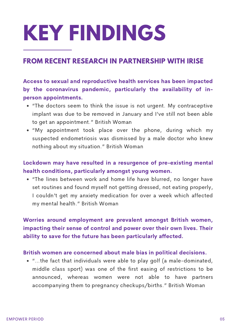# **KEY FINDINGS**

### **FROM RECENT RESEARCH IN PARTNERSHIP WITH IRISE**

Access to sexual and reproductive health services has been impacted by the coronavirus pandemic, particularly the availability of inperson appointments.

- "The doctors seem to think the issue is not urgent. My contraceptive implant was due to be removed in January and I've still not been able to get an appointment." British Woman
- "My appointment took place over the phone, during which my suspected endometriosis was dismissed by a male doctor who knew nothing about my situation." British Woman

### Lockdown may have resulted in a resurgence of pre-existing mental health conditions, particularly amongst young women.

"The lines between work and home life have blurred, no longer have set routines and found myself not getting dressed, not eating properly, I couldn't get my anxiety medication for over a week which affected my mental health." British Woman

### Worries around employment are prevalent amongst British women, impacting their sense of control and power over their own lives. Their ability to save for the future has been particularly affected.

#### British women are concerned about male bias in political decisions.

"…the fact that individuals were able to play golf (a male-dominated, middle class sport) was one of the first easing of restrictions to be announced, whereas women were not able to have partners accompanying them to pregnancy checkups/births." British Woman